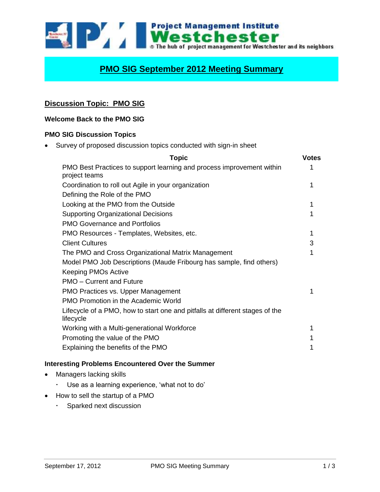

# **PMO SIG September 2012 Meeting Summary**

## **Discussion Topic: PMO SIG**

#### **Welcome Back to the PMO SIG**

#### **PMO SIG Discussion Topics**

Survey of proposed discussion topics conducted with sign-in sheet

| <b>Topic</b>                                                                              | <b>Votes</b> |
|-------------------------------------------------------------------------------------------|--------------|
| PMO Best Practices to support learning and process improvement within<br>project teams    | 1            |
| Coordination to roll out Agile in your organization                                       | 1            |
| Defining the Role of the PMO                                                              |              |
| Looking at the PMO from the Outside                                                       | 1            |
| <b>Supporting Organizational Decisions</b>                                                | 1            |
| <b>PMO Governance and Portfolios</b>                                                      |              |
| PMO Resources - Templates, Websites, etc.                                                 | 1            |
| <b>Client Cultures</b>                                                                    | 3            |
| The PMO and Cross Organizational Matrix Management                                        | 1            |
| Model PMO Job Descriptions (Maude Fribourg has sample, find others)                       |              |
| <b>Keeping PMOs Active</b>                                                                |              |
| PMO - Current and Future                                                                  |              |
| PMO Practices vs. Upper Management                                                        |              |
| <b>PMO Promotion in the Academic World</b>                                                |              |
| Lifecycle of a PMO, how to start one and pitfalls at different stages of the<br>lifecycle |              |
| Working with a Multi-generational Workforce                                               | 1            |
| Promoting the value of the PMO                                                            |              |
| Explaining the benefits of the PMO                                                        | 1            |
|                                                                                           |              |

#### **Interesting Problems Encountered Over the Summer**

- Managers lacking skills
	- Use as a learning experience, 'what not to do'
- How to sell the startup of a PMO
	- Sparked next discussion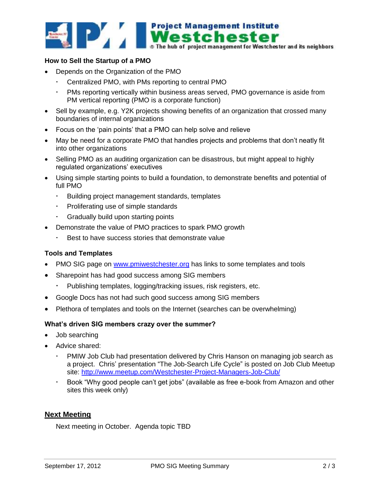

#### **How to Sell the Startup of a PMO**

- Depends on the Organization of the PMO
	- Centralized PMO, with PMs reporting to central PMO
	- PMs reporting vertically within business areas served, PMO governance is aside from PM vertical reporting (PMO is a corporate function)
- Sell by example, e.g. Y2K projects showing benefits of an organization that crossed many boundaries of internal organizations
- Focus on the 'pain points' that a PMO can help solve and relieve
- May be need for a corporate PMO that handles projects and problems that don't neatly fit into other organizations
- Selling PMO as an auditing organization can be disastrous, but might appeal to highly regulated organizations' executives
- Using simple starting points to build a foundation, to demonstrate benefits and potential of full PMO
	- Building project management standards, templates
	- Proliferating use of simple standards
	- Gradually build upon starting points
- Demonstrate the value of PMO practices to spark PMO growth
	- Best to have success stories that demonstrate value

#### **Tools and Templates**

- PMO SIG page on [www.pmiwestchester.org](http://www.pmiwestchester.org/) has links to some templates and tools
- Sharepoint has had good success among SIG members
	- Publishing templates, logging/tracking issues, risk registers, etc.
- Google Docs has not had such good success among SIG members
- Plethora of templates and tools on the Internet (searches can be overwhelming)

#### **What's driven SIG members crazy over the summer?**

- Job searching
- Advice shared:
	- PMIW Job Club had presentation delivered by Chris Hanson on managing job search as a project. Chris' presentation "The Job-Search Life Cycle" is posted on Job Club Meetup site: <http://www.meetup.com/Westchester-Project-Managers-Job-Club/>
	- Book "Why good people can't get jobs" (available as free e-book from Amazon and other sites this week only)

### **Next Meeting**

Next meeting in October. Agenda topic TBD